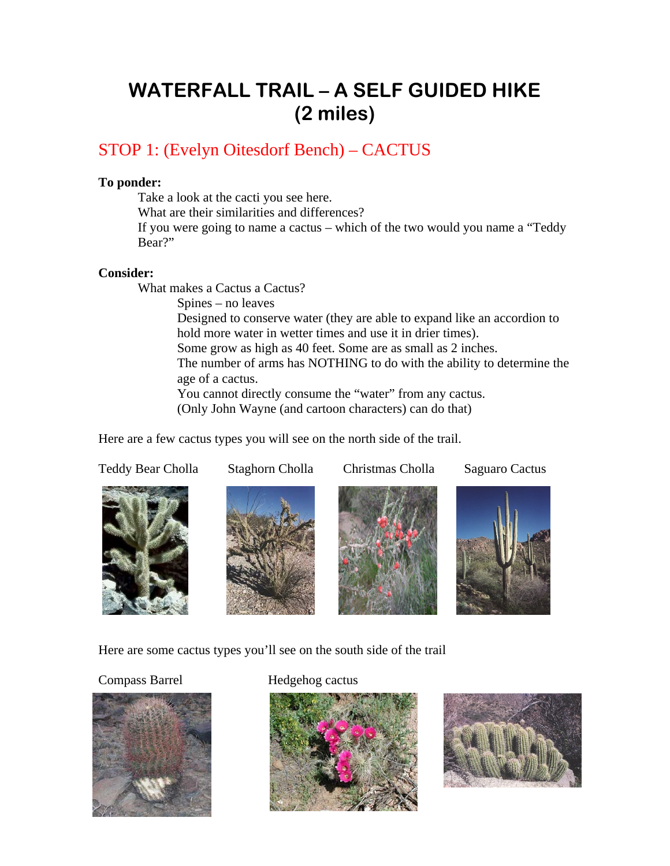# **WATERFALL TRAIL – A SELF GUIDED HIKE (2 miles)**

# STOP 1: (Evelyn Oitesdorf Bench) – CACTUS

## **To ponder:**

Take a look at the cacti you see here.

What are their similarities and differences?

 If you were going to name a cactus – which of the two would you name a "Teddy Bear?"

#### **Consider:**

What makes a Cactus a Cactus?

 Spines – no leaves Designed to conserve water (they are able to expand like an accordion to hold more water in wetter times and use it in drier times). Some grow as high as 40 feet. Some are as small as 2 inches. The number of arms has NOTHING to do with the ability to determine the age of a cactus. You cannot directly consume the "water" from any cactus. (Only John Wayne (and cartoon characters) can do that)

Here are a few cactus types you will see on the north side of the trail.

Teddy Bear Cholla Staghorn Cholla Christmas Cholla Saguaro Cactus









Here are some cactus types you'll see on the south side of the trail



## Compass Barrel **Hedgehog cactus**



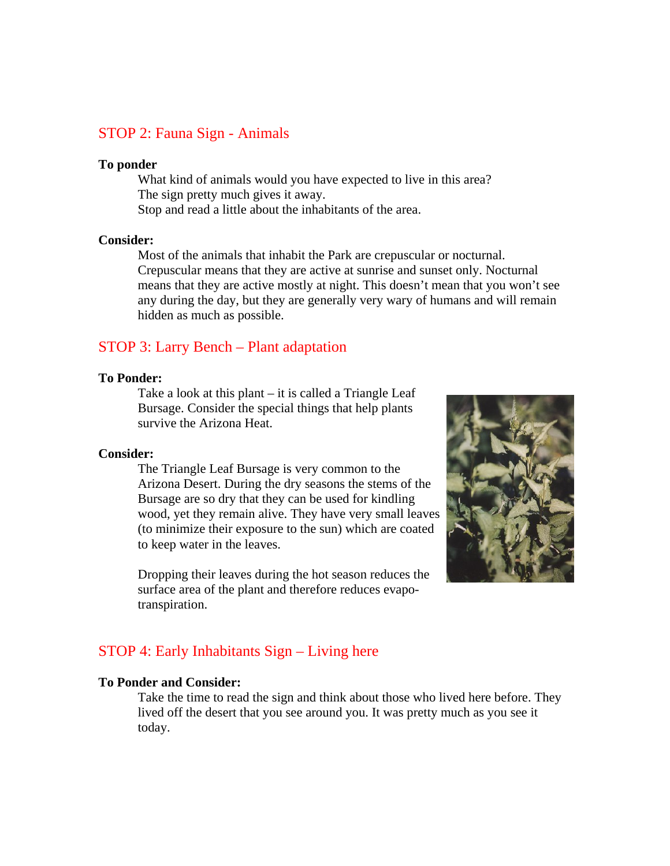# STOP 2: Fauna Sign - Animals

#### **To ponder**

 What kind of animals would you have expected to live in this area? The sign pretty much gives it away. Stop and read a little about the inhabitants of the area.

#### **Consider:**

 Most of the animals that inhabit the Park are crepuscular or nocturnal. Crepuscular means that they are active at sunrise and sunset only. Nocturnal means that they are active mostly at night. This doesn't mean that you won't see any during the day, but they are generally very wary of humans and will remain hidden as much as possible.

## STOP 3: Larry Bench – Plant adaptation

#### **To Ponder:**

 Take a look at this plant – it is called a Triangle Leaf Bursage. Consider the special things that help plants survive the Arizona Heat.

#### **Consider:**

 The Triangle Leaf Bursage is very common to the Arizona Desert. During the dry seasons the stems of the Bursage are so dry that they can be used for kindling wood, yet they remain alive. They have very small leaves (to minimize their exposure to the sun) which are coated to keep water in the leaves.

 Dropping their leaves during the hot season reduces the surface area of the plant and therefore reduces evapotranspiration.



# STOP 4: Early Inhabitants Sign – Living here

#### **To Ponder and Consider:**

Take the time to read the sign and think about those who lived here before. They lived off the desert that you see around you. It was pretty much as you see it today.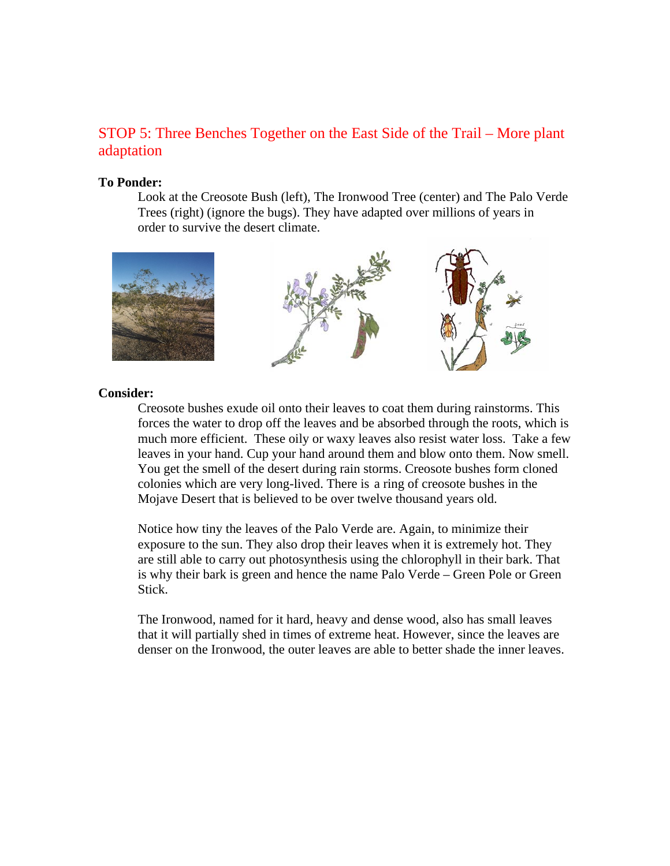# STOP 5: Three Benches Together on the East Side of the Trail – More plant adaptation

#### **To Ponder:**

Look at the Creosote Bush (left), The Ironwood Tree (center) and The Palo Verde Trees (right) (ignore the bugs). They have adapted over millions of years in order to survive the desert climate.



#### Consider:

leaves in your hand. Cup your hand around them and blow onto them. Now smell. You get the smell of the desert during rain storms. Creosote bushes form cloned colonies which are very long-lived. There is a ring of creosote bushes in the Mojave Desert that is believed to be over twelve thousand years old. Creosote bushes exude oil onto their leaves to coat them during rainstorms. This forces the water to drop off the leaves and be absorbed through the roots, which is much more efficient. These oily or waxy leaves also resist water loss. Take a few

is why their bark is green and hence the name Palo Verde – Green Pole or Green Stick. Notice how tiny the leaves of the Palo Verde are. Again, to minimize their exposure to the sun. They also drop their leaves when it is extremely hot. They are still able to carry out photosynthesis using the chlorophyll in their bark. That

denser on the Ironwood, the outer leaves are able to better shade the inner leaves. The Ironwood, named for it hard, heavy and dense wood, also has small leaves that it will partially shed in times of extreme heat. However, since the leaves are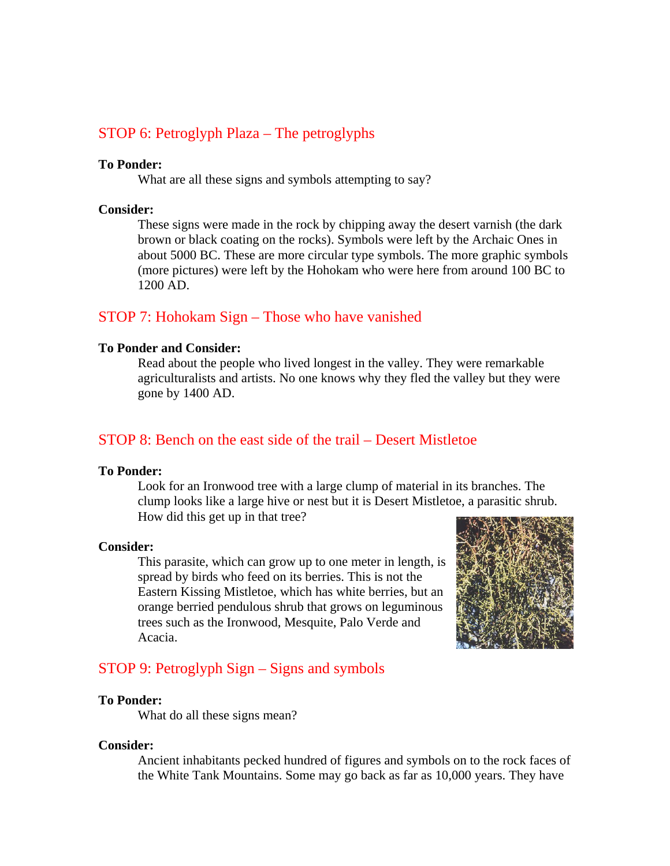# STOP 6: Petroglyph Plaza – The petroglyphs

#### **To Ponder:**

What are all these signs and symbols attempting to say?

#### **Consider:**

(more pictures) were left by the Hohokam who were here from around 100 BC to 1200 AD. These signs were made in the rock by chipping away the desert varnish (the dark brown or black coating on the rocks). Symbols were left by the Archaic Ones in about 5000 BC. These are more circular type symbols. The more graphic symbols

# STOP 7: Hohokam Sign - Those who have vanished

#### **To Ponder and Consider:**

agriculturalists and artists. No one knows why they fled the valley but they were gone by 1400 AD. Read about the people who lived longest in the valley. They were remarkable

# STOP 8: Bench on the east side of the trail – Desert Mistletoe

#### **To Ponder:**

clump looks like a large hive or nest but it is Desert Mistletoe, a parasitic shrub. How did this get up in that tree? Look for an Ironwood tree with a large clump of material in its branches. The

#### **Consider:**

This parasite, which can grow up to one meter in length, is orange berried pendulous shrub that grows on leguminous trees such as the Ironwood, Mesquite, Palo Verde and Acacia. spread by birds who feed on its berries. This is not the Eastern Kissing Mistletoe, which has white berries, but an



# STOP 9: Petroglyph Sign – Signs and symbols

#### **To Ponder:**

What do all these signs mean?

#### **Consider:**

the White Tank Mountains. Some may go back as far as 10,000 years. They have Ancient inhabitants pecked hundred of figures and symbols on to the rock faces of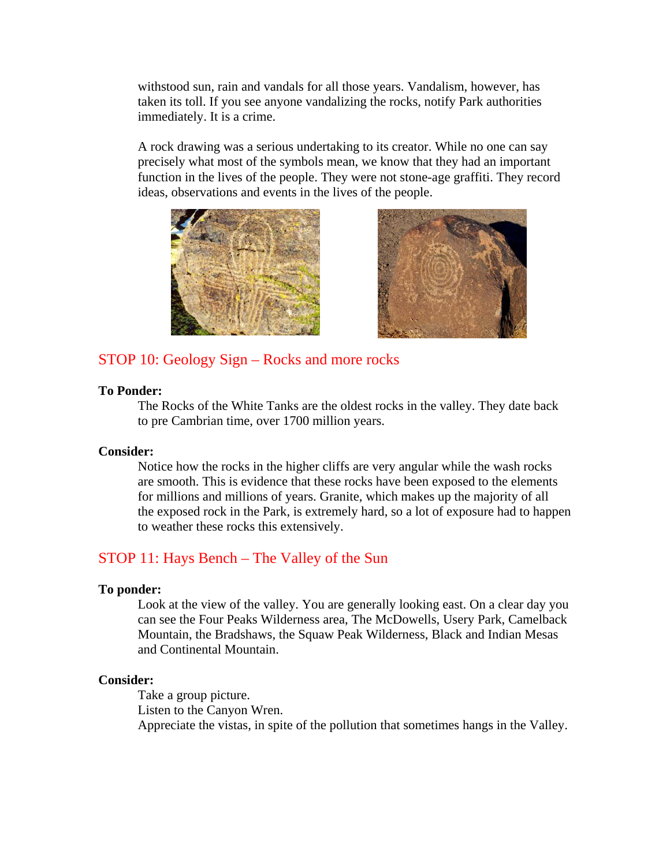withstood sun, rain and vandals for all those years. Vandalism, however, has taken its toll. If you see anyone vandalizing the rocks, notify Park authorities immediately. It is a crime.

function in the lives of the people. They were not stone-age graffiti. They record ideas, observations and events in the lives of the people. A rock drawing was a serious undertaking to its creator. While no one can say precisely what most of the symbols mean, we know that they had an important





# STOP 10: Geology Sign – Rocks and more rocks

# **To Ponder:**

The Rocks of the White Tanks are the oldest rocks in the valley. They date back to pre Cambrian time, over 1700 million years.

# **Consider:**

to weather these rocks this extensively. Notice how the rocks in the higher cliffs are very angular while the wash rocks are smooth. This is evidence that these rocks have been exposed to the elements for millions and millions of years. Granite, which makes up the majority of all the exposed rock in the Park, is extremely hard, so a lot of exposure had to happen

# STOP 11: Hays Bench – The Valley of the Sun

# **To ponder:**

Mountain, the Bradshaws, the Squaw Peak Wilderness, Black and Indian Mesas and Continental Mountain. Look at the view of the valley. You are generally looking east. On a clear day you can see the Four Peaks Wilderness area, The McDowells, Usery Park, Camelback

# **Consider:**

Appreciate the vistas, in spite of the pollution that sometimes hangs in the Valley. Take a group picture. Listen to the Canyon Wren.